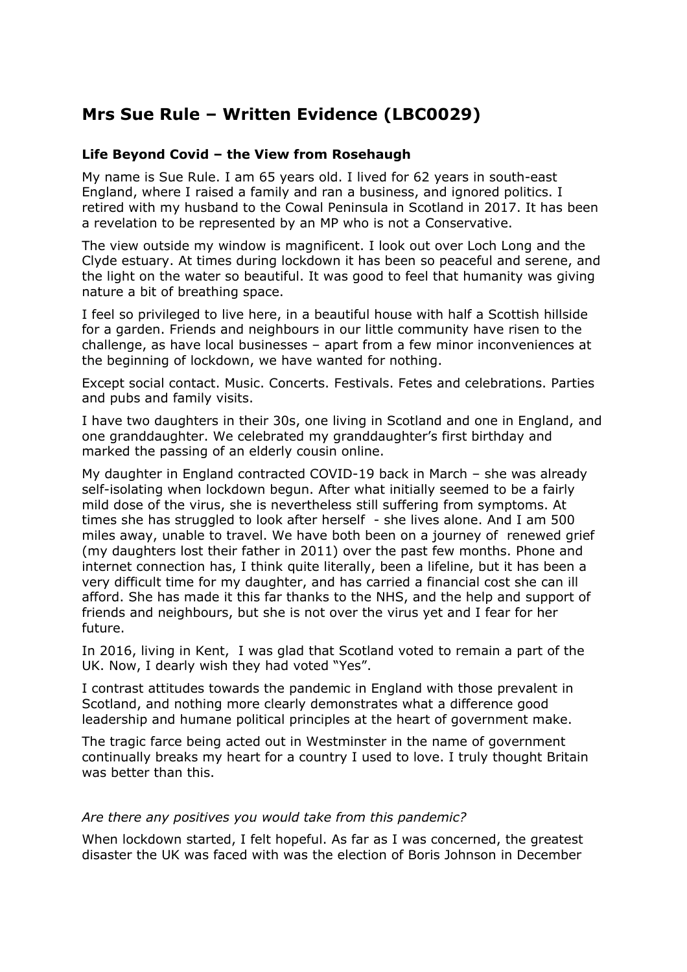# **Mrs Sue Rule – Written Evidence (LBC0029)**

## **Life Beyond Covid – the View from Rosehaugh**

My name is Sue Rule. I am 65 years old. I lived for 62 years in south-east England, where I raised a family and ran a business, and ignored politics. I retired with my husband to the Cowal Peninsula in Scotland in 2017. It has been a revelation to be represented by an MP who is not a Conservative.

The view outside my window is magnificent. I look out over Loch Long and the Clyde estuary. At times during lockdown it has been so peaceful and serene, and the light on the water so beautiful. It was good to feel that humanity was giving nature a bit of breathing space.

I feel so privileged to live here, in a beautiful house with half a Scottish hillside for a garden. Friends and neighbours in our little community have risen to the challenge, as have local businesses – apart from a few minor inconveniences at the beginning of lockdown, we have wanted for nothing.

Except social contact. Music. Concerts. Festivals. Fetes and celebrations. Parties and pubs and family visits.

I have two daughters in their 30s, one living in Scotland and one in England, and one granddaughter. We celebrated my granddaughter's first birthday and marked the passing of an elderly cousin online.

My daughter in England contracted COVID-19 back in March – she was already self-isolating when lockdown begun. After what initially seemed to be a fairly mild dose of the virus, she is nevertheless still suffering from symptoms. At times she has struggled to look after herself - she lives alone. And I am 500 miles away, unable to travel. We have both been on a journey of renewed grief (my daughters lost their father in 2011) over the past few months. Phone and internet connection has, I think quite literally, been a lifeline, but it has been a very difficult time for my daughter, and has carried a financial cost she can ill afford. She has made it this far thanks to the NHS, and the help and support of friends and neighbours, but she is not over the virus yet and I fear for her future.

In 2016, living in Kent, I was glad that Scotland voted to remain a part of the UK. Now, I dearly wish they had voted "Yes".

I contrast attitudes towards the pandemic in England with those prevalent in Scotland, and nothing more clearly demonstrates what a difference good leadership and humane political principles at the heart of government make.

The tragic farce being acted out in Westminster in the name of government continually breaks my heart for a country I used to love. I truly thought Britain was better than this.

#### *Are there any positives you would take from this pandemic?*

When lockdown started, I felt hopeful. As far as I was concerned, the greatest disaster the UK was faced with was the election of Boris Johnson in December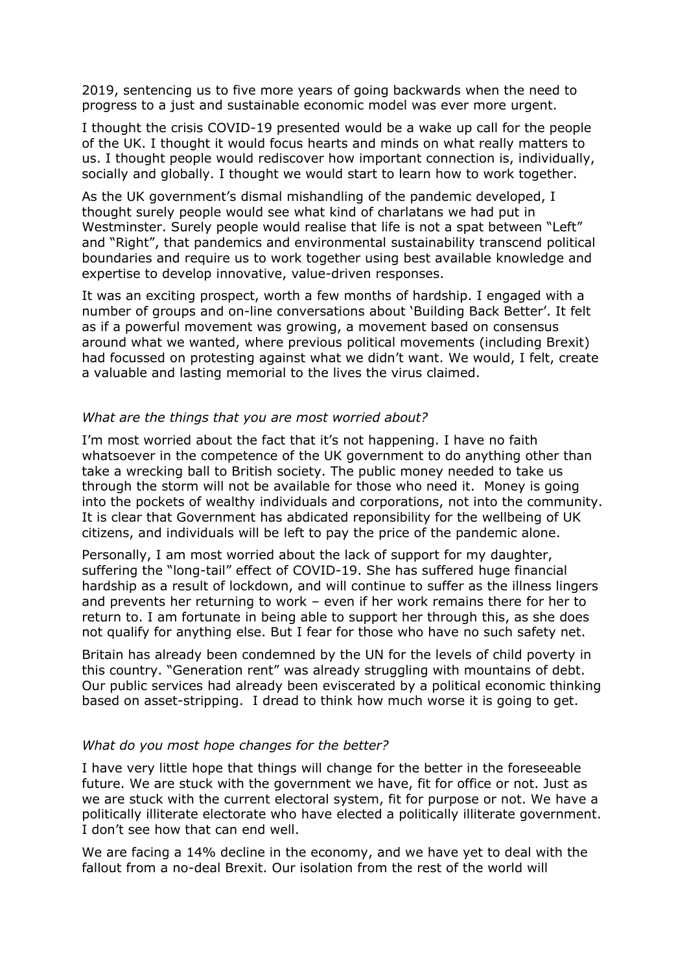2019, sentencing us to five more years of going backwards when the need to progress to a just and sustainable economic model was ever more urgent.

I thought the crisis COVID-19 presented would be a wake up call for the people of the UK. I thought it would focus hearts and minds on what really matters to us. I thought people would rediscover how important connection is, individually, socially and globally. I thought we would start to learn how to work together.

As the UK government's dismal mishandling of the pandemic developed, I thought surely people would see what kind of charlatans we had put in Westminster. Surely people would realise that life is not a spat between "Left" and "Right", that pandemics and environmental sustainability transcend political boundaries and require us to work together using best available knowledge and expertise to develop innovative, value-driven responses.

It was an exciting prospect, worth a few months of hardship. I engaged with a number of groups and on-line conversations about 'Building Back Better'. It felt as if a powerful movement was growing, a movement based on consensus around what we wanted, where previous political movements (including Brexit) had focussed on protesting against what we didn't want. We would, I felt, create a valuable and lasting memorial to the lives the virus claimed.

### *What are the things that you are most worried about?*

I'm most worried about the fact that it's not happening. I have no faith whatsoever in the competence of the UK government to do anything other than take a wrecking ball to British society. The public money needed to take us through the storm will not be available for those who need it. Money is going into the pockets of wealthy individuals and corporations, not into the community. It is clear that Government has abdicated reponsibility for the wellbeing of UK citizens, and individuals will be left to pay the price of the pandemic alone.

Personally, I am most worried about the lack of support for my daughter, suffering the "long-tail" effect of COVID-19. She has suffered huge financial hardship as a result of lockdown, and will continue to suffer as the illness lingers and prevents her returning to work – even if her work remains there for her to return to. I am fortunate in being able to support her through this, as she does not qualify for anything else. But I fear for those who have no such safety net.

Britain has already been condemned by the UN for the levels of child poverty in this country. "Generation rent" was already struggling with mountains of debt. Our public services had already been eviscerated by a political economic thinking based on asset-stripping. I dread to think how much worse it is going to get.

#### *What do you most hope changes for the better?*

I have very little hope that things will change for the better in the foreseeable future. We are stuck with the government we have, fit for office or not. Just as we are stuck with the current electoral system, fit for purpose or not. We have a politically illiterate electorate who have elected a politically illiterate government. I don't see how that can end well.

We are facing a 14% decline in the economy, and we have yet to deal with the fallout from a no-deal Brexit. Our isolation from the rest of the world will